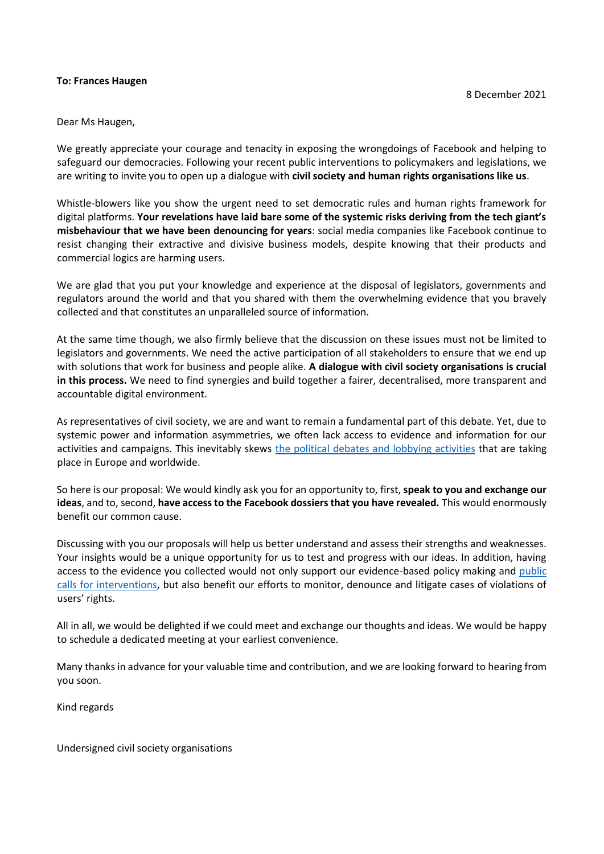#### **To: Frances Haugen**

Dear Ms Haugen,

We greatly appreciate your courage and tenacity in exposing the wrongdoings of Facebook and helping to safeguard our democracies. Following your recent public interventions to policymakers and legislations, we are writing to invite you to open up a dialogue with **civil society and human rights organisations like us**.

Whistle-blowers like you show the urgent need to set democratic rules and human rights framework for digital platforms. **Your revelations have laid bare some of the systemic risks deriving from the tech giant's misbehaviour that we have been denouncing for years**: social media companies like Facebook continue to resist changing their extractive and divisive business models, despite knowing that their products and commercial logics are harming users.

We are glad that you put your knowledge and experience at the disposal of legislators, governments and regulators around the world and that you shared with them the overwhelming evidence that you bravely collected and that constitutes an unparalleled source of information.

At the same time though, we also firmly believe that the discussion on these issues must not be limited to legislators and governments. We need the active participation of all stakeholders to ensure that we end up with solutions that work for business and people alike. **A dialogue with civil society organisations is crucial in this process.** We need to find synergies and build together a fairer, decentralised, more transparent and accountable digital environment.

As representatives of civil society, we are and want to remain a fundamental part of this debate. Yet, due to systemic power and information asymmetries, we often lack access to evidence and information for our activities and campaigns. This inevitably skews [the political debates and lobbying activities](https://www.politico.eu/article/frances-haugen-facebook-the-worlds-most-professional-whistleblower/) that are taking place in Europe and worldwide.

So here is our proposal: We would kindly ask you for an opportunity to, first, **speak to you and exchange our ideas**, and to, second, **have access to the Facebook dossiers that you have revealed.** This would enormously benefit our common cause.

Discussing with you our proposals will help us better understand and assess their strengths and weaknesses. Your insights would be a unique opportunity for us to test and progress with our ideas. In addition, having access to the evidence you collected would not only support our evidence-based policy making and [public](https://www.politico.eu/article/let-1000-facebooks-bloom/) [calls for interventions,](https://www.politico.eu/article/let-1000-facebooks-bloom/) but also benefit our efforts to monitor, denounce and litigate cases of violations of users' rights.

All in all, we would be delighted if we could meet and exchange our thoughts and ideas. We would be happy to schedule a dedicated meeting at your earliest convenience.

Many thanks in advance for your valuable time and contribution, and we are looking forward to hearing from you soon.

Kind regards

Undersigned civil society organisations